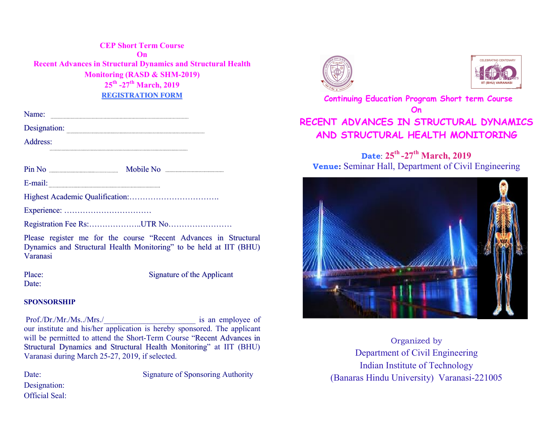CEP Short Term Course On Recent Advances in Structural Dynamics and Structural Health Monitoring (RASD & SHM-2019)  $25^{th}$  -27<sup>th</sup> March, 2019 REGISTRATION FORM

Designation: **Manual Property of the Contract Of the Contract Of the Contract Of the Contract Of the Contract Of the Contract Of the Contract Of the Contract Of the Contract Of the Contract Of the Contract Of the Contract** 

Address:

Pin No Mobile No

E-mail:

Highest Academic Qualification:…………………………….

Experience: ……………………………

Registration Fee Rs:...................UTR No...................................

Please register me for the course "Recent Advances in Structural Dynamics and Structural Health Monitoring" to be held at IIT (BHU) Varanasi

Date:

Place: Signature of the Applicant

#### SPONSORSHIP

 Prof./Dr./Mr./Ms../Mrs./\_\_\_\_\_\_\_\_\_\_\_\_\_\_\_\_\_\_\_\_\_\_\_ is an employee of our institute and his/her application is hereby sponsored. The applicant will be permitted to attend the Short-Term Course "Recent Advances in Structural Dynamics and Structural Health Monitoring" at IIT (BHU) Varanasi during March 25-27, 2019, if selected.

Designation:

Official Seal:

Date: Signature of Sponsoring Authority





# Continuing Education Program Short term Course On RECENT ADVANCES IN STRUCTURAL DYNAMICS AND STRUCTURAL HEALTH MONITORING

## Date:  $25^{\text{th}}$ -27<sup>th</sup> March, 2019 Venue: Seminar Hall, Department of Civil Engineering



Organized by Department of Civil Engineering Indian Institute of Technology (Banaras Hindu University) Varanasi-221005